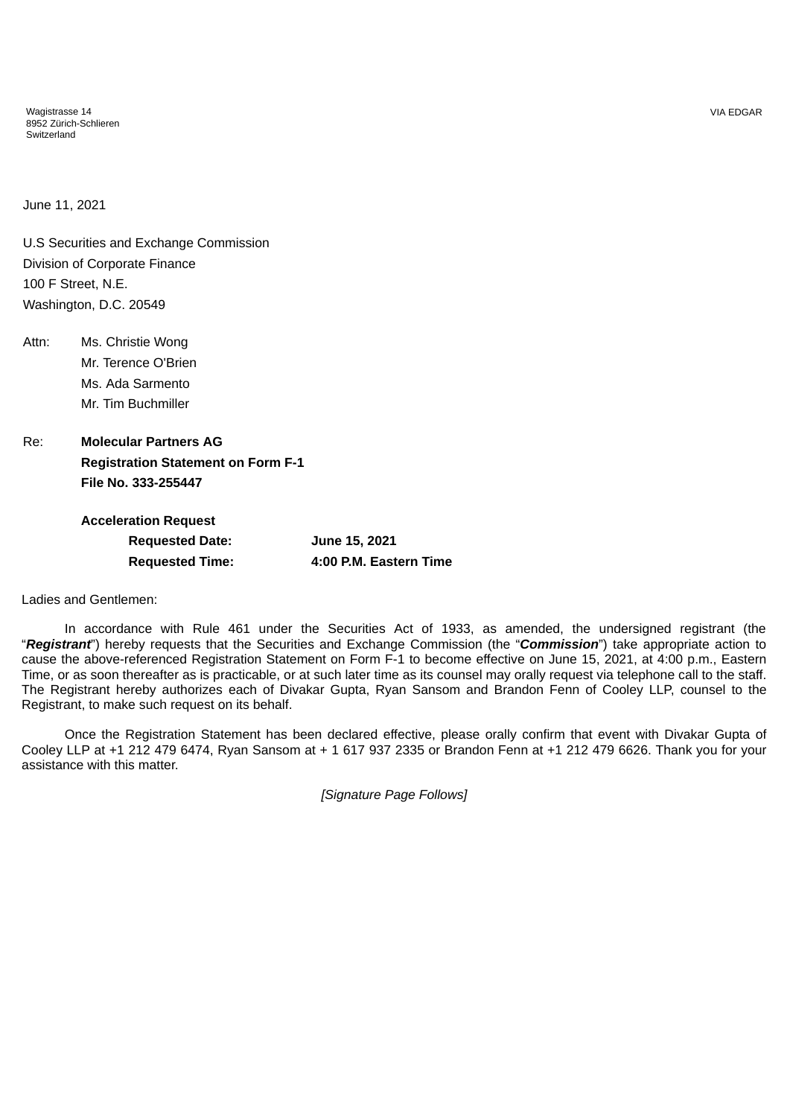Wagistrasse 14 8952 Zürich-Schlieren Switzerland

June 11, 2021

U.S Securities and Exchange Commission Division of Corporate Finance 100 F Street, N.E. Washington, D.C. 20549

Attn: Ms. Christie Wong Mr. Terence O'Brien Ms. Ada Sarmento Mr. Tim Buchmiller

Re: **Molecular Partners AG Registration Statement on Form F-1 File No. 333-255447**

| <b>Acceleration Request</b> |                        |
|-----------------------------|------------------------|
| <b>Requested Date:</b>      | June 15, 2021          |
| <b>Requested Time:</b>      | 4:00 P.M. Eastern Time |

Ladies and Gentlemen:

In accordance with Rule 461 under the Securities Act of 1933, as amended, the undersigned registrant (the "*Registrant*") hereby requests that the Securities and Exchange Commission (the "*Commission*") take appropriate action to cause the above-referenced Registration Statement on Form F-1 to become effective on June 15, 2021, at 4:00 p.m., Eastern Time, or as soon thereafter as is practicable, or at such later time as its counsel may orally request via telephone call to the staff. The Registrant hereby authorizes each of Divakar Gupta, Ryan Sansom and Brandon Fenn of Cooley LLP, counsel to the Registrant, to make such request on its behalf.

Once the Registration Statement has been declared effective, please orally confirm that event with Divakar Gupta of Cooley LLP at +1 212 479 6474, Ryan Sansom at + 1 617 937 2335 or Brandon Fenn at +1 212 479 6626. Thank you for your assistance with this matter.

*[Signature Page Follows]*